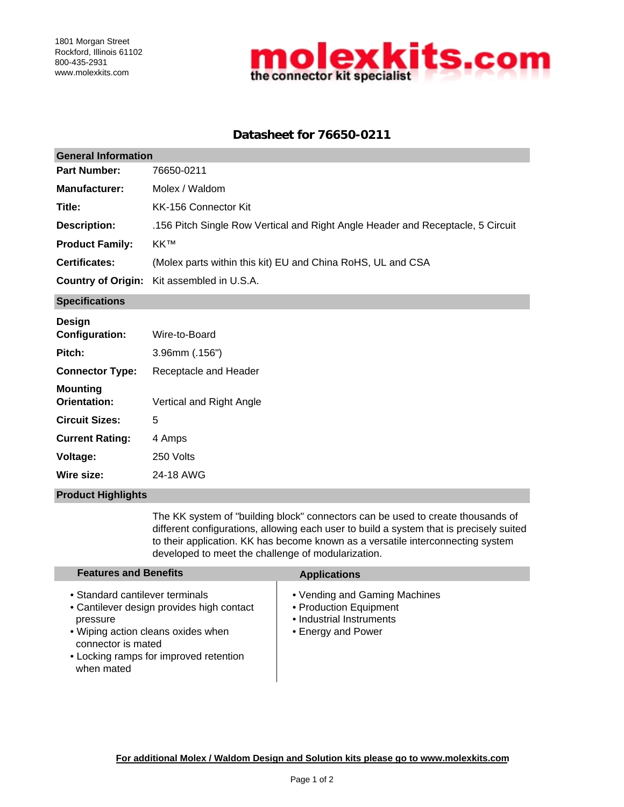

# **Datasheet for 76650-0211**

| <b>General Information</b> |                                                                                 |  |
|----------------------------|---------------------------------------------------------------------------------|--|
| <b>Part Number:</b>        | 76650-0211                                                                      |  |
| <b>Manufacturer:</b>       | Molex / Waldom                                                                  |  |
| Title:                     | KK-156 Connector Kit                                                            |  |
| <b>Description:</b>        | .156 Pitch Single Row Vertical and Right Angle Header and Receptacle, 5 Circuit |  |
| <b>Product Family:</b>     | KK™                                                                             |  |
| <b>Certificates:</b>       | (Molex parts within this kit) EU and China RoHS, UL and CSA                     |  |
|                            | <b>Country of Origin:</b> Kit assembled in U.S.A.                               |  |
|                            |                                                                                 |  |

**Specifications**

| Design                          |                          |
|---------------------------------|--------------------------|
| <b>Configuration:</b>           | Wire-to-Board            |
| Pitch:                          | $3.96$ mm $(.156")$      |
| <b>Connector Type:</b>          | Receptacle and Header    |
| <b>Mounting</b><br>Orientation: | Vertical and Right Angle |
| <b>Circuit Sizes:</b>           | 5                        |
| <b>Current Rating:</b>          | 4 Amps                   |
| Voltage:                        | 250 Volts                |
| Wire size:                      | 24-18 AWG                |
|                                 |                          |

### **Product Highlights**

The KK system of "building block" connectors can be used to create thousands of different configurations, allowing each user to build a system that is precisely suited to their application. KK has become known as a versatile interconnecting system developed to meet the challenge of modularization.

| <b>Features and Benefits</b>                                                                                                                                                                                 | <b>Applications</b>                                                                                       |
|--------------------------------------------------------------------------------------------------------------------------------------------------------------------------------------------------------------|-----------------------------------------------------------------------------------------------------------|
| • Standard cantilever terminals<br>• Cantilever design provides high contact<br>pressure<br>• Wiping action cleans oxides when<br>connector is mated<br>• Locking ramps for improved retention<br>when mated | • Vending and Gaming Machines<br>• Production Equipment<br>• Industrial Instruments<br>• Energy and Power |